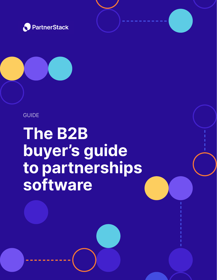



GUIDE

**The B2B buyer's guide to partnerships software**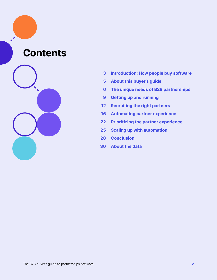### **Contents**



- **Introduction: How people buy software 3**
- **About this buyer's guide 5**
- **The unique needs of B2B partnerships 6**
- **Getting up and running 9**
- **Recruiting the right partners 12**
- **Automating partner experience 16**
- **Prioritizing the partner experience 22**
- **Scaling up with automation 25**
- **Conclusion 28**
- **About the data 30**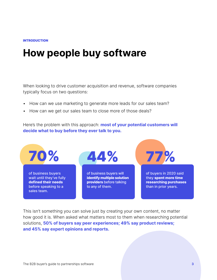#### INTRODUCTION

## **How people buy software**

When looking to drive customer acquisition and revenue, software companies typically focus on two questions:

- How can we use marketing to generate more leads for our sales team?
- How can we get our sales team to close more of those deals?

Here's the problem with this approach: **most of your potential customers will decide what to buy before they ever talk to you.**



This isn't something you can solve just by creating your own content, no matter how good it is. When asked what matters most to them when researching potential solutions, **50% of buyers say peer experiences; 49% say product reviews; and 45% say expert opinions and reports.**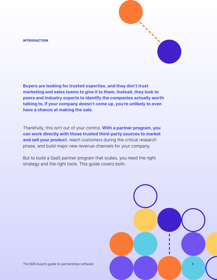#### **INTRODUCTION**

**Buyers are looking for trusted expertise, and they don't trust marketing and sales teams to give it to them. Instead, they look to peers and industry experts to identify the companies actually worth talking to. If your company doesn't come up, you're unlikely to even have a chance at making the sale.**

Thankfully, this isn't out of your control. **With a partner program, you can work directly with those trusted third-party sources to market**  and sell your product, reach customers during the critical research phase, and build major new revenue channels for your company.

But to build a SaaS partner program that scales, you need the right strategy and the right tools. This guide covers both.

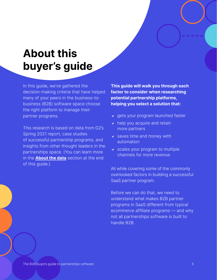# **About this buyer's guide**

In this guide, we've gathered the decision-making criteria that have helped many of your peers in the business-tobusiness (B2B) software space choose the right platform to manage their partner programs.

This research is based on data from G2's Spring 2021 report, case studies of successful partnership programs, and insights from other thought leaders in the partnerships space. (You can learn more in the **About the data** section at the end of this guide.)

**This guide will walk you through each factor to consider when researching potential partnership platforms, helping you select a solution that:**

- $\vee$  gets your program launched faster
- $\vee$  help you acquire and retain more partners
- $\cdot$  saves time and money with automation
- $\triangleright$  scales your program to multiple channels for more revenue

All while covering some of the commonly overlooked factors in building a successful SaaS partner program.

Before we can do that, we need to understand what makes B2B partner programs in SaaS different from typical ecommerce affiliate programs — and why not all partnerships software is built to handle B2B.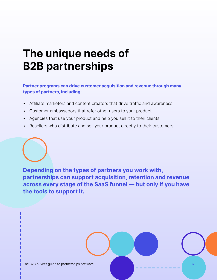# **The unique needs of B2B partnerships**

**Partner programs can drive customer acquisition and revenue through many types of partners, including:**

- Affiliate marketers and content creators that drive traffic and awareness
- Customer ambassadors that refer other users to your product
- Agencies that use your product and help you sell it to their clients
- Resellers who distribute and sell your product directly to their customers

**Depending on the types of partners you work with, partnerships can support acquisition, retention and revenue across every stage of the SaaS funnel — but only if you have the tools to support it.**

The B2B buyer's guide to partnerships software **6**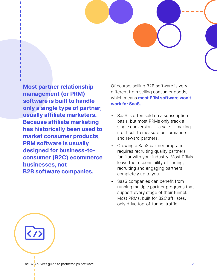**Most partner relationship management (or PRM) software is built to handle only a single type of partner, usually affiliate marketers. Because affiliate marketing has historically been used to market consumer products, PRM software is usually designed for business-toconsumer (B2C) ecommerce businesses, not B2B software companies.**

Of course, selling B2B software is very different from selling consumer goods, which means **most PRM software won't work for SaaS.**

- SaaS is often sold on a subscription basis, but most PRMs only track a single conversion — a sale — making it difficult to measure performance and reward partners.
- Growing a SaaS partner program requires recruiting quality partners familiar with your industry. Most PRMs leave the responsibility of finding, recruiting and engaging partners completely up to you.
- SaaS companies can benefit from running multiple partner programs that support every stage of their funnel. Most PRMs, built for B2C affiliates, only drive top-of-funnel traffic.

The B2B buyer's guide to partnerships software **7**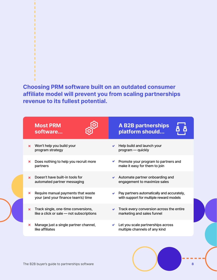#### п п п п п ٠ п п п п п п

п

**Choosing PRM software built on an outdated consumer affiliate model will prevent you from scaling partnerships revenue to its fullest potential.**

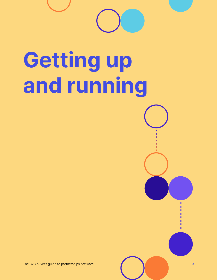

# **Getting up and running**

The B2B buyer's guide to partnerships software **9**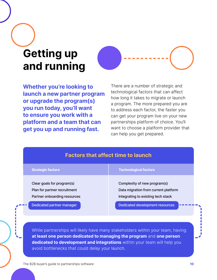# **Getting up and running**



**Whether you're looking to launch a new partner program or upgrade the program(s) you run today, you'll want to ensure you work with a platform and a team that can get you up and running fast.**

There are a number of strategic and technological factors that can affect how long it takes to migrate or launch a program. The more prepared you are to address each factor, the faster you can get your program live on your new partnerships platform of choice. You'll want to choose a platform provider that can help you get prepared.

|                                                                                            | <b>Factors that affect time to launch</b>                                                                  |
|--------------------------------------------------------------------------------------------|------------------------------------------------------------------------------------------------------------|
| <b>Strategic factors</b>                                                                   | <b>Technological factors</b>                                                                               |
| Clear goals for program(s)<br>Plan for partner recruitment<br>Partner onboarding resources | Complexity of new program(s)<br>Data migration from current platform<br>Integrating to existing tech stack |
| Dedicated partner manager                                                                  | <b>Dedicated development resources</b>                                                                     |

While partnerships will likely have many stakeholders within your team, having **at least one person dedicated to managing the program** and **one person dedicated to development and integrations** within your team will help you avoid bottlenecks that could delay your launch.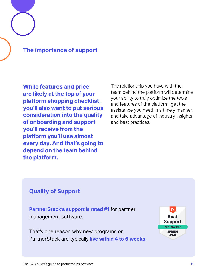#### **The importance of support**

**While features and price are likely at the top of your platform shopping checklist, you'll also want to put serious consideration into the quality of onboarding and support you'll receive from the platform you'll use almost every day. And that's going to depend on the team behind the platform.**

The relationship you have with the team behind the platform will determine your ability to truly optimize the tools and features of the platform, get the assistance you need in a timely manner, and take advantage of industry insights and best practices.

#### **Quality of Support**

**PartnerStack's support is rated #1** for partner management software.

That's one reason why new programs on PartnerStack are typically **live within 4 to 6 weeks.**

 $\mathcal{C}^2$ **Best Support** Mid-Market **SPRING** 2021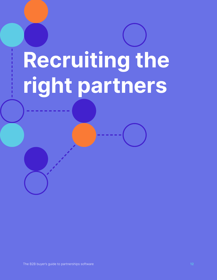# **Recruiting the right partners**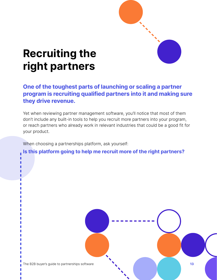# **Recruiting the right partners**

#### **One of the toughest parts of launching or scaling a partner program is recruiting qualified partners into it and making sure they drive revenue.**

Yet when reviewing partner management software, you'll notice that most of them don't include any built-in tools to help you recruit more partners into your program, or reach partners who already work in relevant industries that could be a good fit for your product.

When choosing a partnerships platform, ask yourself:

**Is this platform going to help me recruit more of the right partners?**

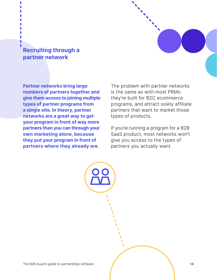#### **Recruiting through a partner network**

**Partner networks bring large numbers of partners together and give them access to joining multiple types of partner programs from a single site. In theory, partner networks are a great way to get your program in front of way more partners than you can through your own marketing alone, because they put your program in front of partners where they already are.**

The problem with partner networks is the same as with most PRMs: they're built for B2C ecommerce programs, and attract solely affiliate partners that want to market those types of products.

If you're running a program for a B2B SaaS product, most networks won't give you access to the types of partners you actually want.

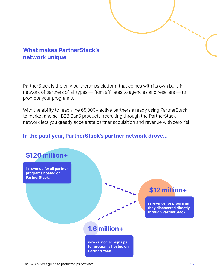#### **What makes PartnerStack's network unique**

PartnerStack is the only partnerships platform that comes with its own built-in network of partners of all types — from affiliates to agencies and resellers — to promote your program to.

With the ability to reach the 65,000+ active partners already using PartnerStack to market and sell B2B SaaS products, recruiting through the PartnerStack network lets you greatly accelerate partner acquisition and revenue with zero risk.

#### **In the past year, PartnerStack's partner network drove...**

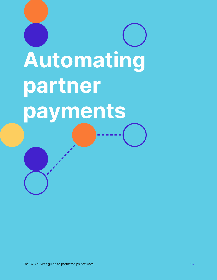# **Automating partner payments**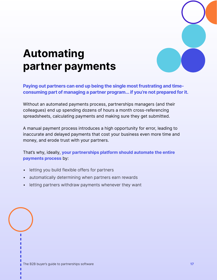

# **Automating partner payments**

**Paying out partners can end up being the single most frustrating and timeconsuming part of managing a partner program... if you're not prepared for it.**

Without an automated payments process, partnerships managers (and their colleagues) end up spending dozens of hours a month cross-referencing spreadsheets, calculating payments and making sure they get submitted.

A manual payment process introduces a high opportunity for error, leading to inaccurate and delayed payments that cost your business even more time and money, and erode trust with your partners.

That's why, ideally, **your partnerships platform should automate the entire payments process** by:

- letting you build flexible offers for partners
- automatically determining when partners earn rewards
- letting partners withdraw payments whenever they want

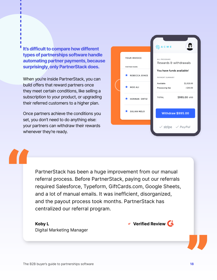**It's difficult to compare how different types of partnerships software handle automating partner payments, because surprisingly, only PartnerStack does.**

When you're inside PartnerStack, you can build offers that reward partners once they meet certain conditions, like selling a subscription to your product, or upgrading their referred customers to a higher plan.

Once partners achieve the conditions you set, you don't need to do anything else: your partners can withdraw their rewards whenever they're ready.



PartnerStack has been a huge improvement from our manual referral process. Before PartnerStack, paying out our referrals required Salesforce, Typeform, GiftCards.com, Google Sheets, and a lot of manual emails. It was inefficient, disorganized, and the payout process took months. PartnerStack has centralized our referral program.

**Koby L** Digital Marketing Manager

**"** 

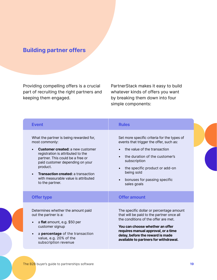#### **Building partner offers**

Providing compelling offers is a crucial part of recruiting the right partners and keeping them engaged.

PartnerStack makes it easy to build whatever kinds of offers you want by breaking them down into four simple components:

| <b>Event</b>                                                                                                                                                                                                                                                                                                                        | <b>Rules</b>                                                                                                                                                                                                                                                                                                   |
|-------------------------------------------------------------------------------------------------------------------------------------------------------------------------------------------------------------------------------------------------------------------------------------------------------------------------------------|----------------------------------------------------------------------------------------------------------------------------------------------------------------------------------------------------------------------------------------------------------------------------------------------------------------|
| What the partner is being rewarded for,<br>most commonly:<br><b>Customer created: a new customer</b><br>registration is attributed to the<br>partner. This could be a free or<br>paid customer depending on your<br>product.<br><b>Transaction created: a transaction</b><br>with measurable value is attributed<br>to the partner. | Set more specific criteria for the types of<br>events that trigger the offer, such as:<br>the value of the transaction<br>the duration of the customer's<br>$\bullet$<br>subscription<br>the specific product or add-on<br>$\bullet$<br>being sold<br>bonuses for passing specific<br>$\bullet$<br>sales goals |
| <b>Offer type</b>                                                                                                                                                                                                                                                                                                                   | <b>Offer amount</b>                                                                                                                                                                                                                                                                                            |
| Determines whether the amount paid<br>out the partner is a:<br>a flat amount, e.g. \$50 per<br>customer signup<br>a percentage of the transaction<br>value, e.g. 20% of the<br>subscription revenue                                                                                                                                 | The specific dollar or percentage amount<br>that will be paid to the partner once all<br>the conditions of the offer are met.<br>You can choose whether an offer<br>requires manual approval, or a time<br>delay, before the reward is made<br>available to partners for withdrawal.                           |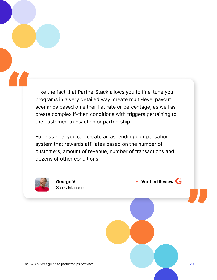I like the fact that PartnerStack allows you to fine-tune your programs in a very detailed way, create multi-level payout scenarios based on either flat rate or percentage, as well as create complex if-then conditions with triggers pertaining to the customer, transaction or partnership.

For instance, you can create an ascending compensation system that rewards affiliates based on the number of customers, amount of revenue, number of transactions and dozens of other conditions.



**"** 



The B2B buyer's guide to partnerships software **20**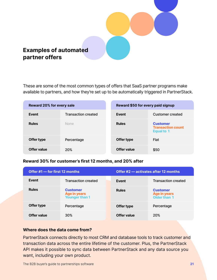

These are some of the most common types of offers that SaaS partner programs make available to partners, and how they're set up to be automatically triggered in PartnerStack.

| <b>Reward 20% for every sale</b> |                            | Reward \$50 for every paid signup |                                                                  |
|----------------------------------|----------------------------|-----------------------------------|------------------------------------------------------------------|
| Event                            | <b>Transaction created</b> | Event                             | Customer created                                                 |
| <b>Rules</b>                     | <b>None</b>                | <b>Rules</b>                      | <b>Customer</b><br><b>Transaction count</b><br><b>Equal to 1</b> |
| Offer type                       | Percentage                 | Offer type                        | Flat                                                             |
| Offer value                      | <b>20%</b>                 | Offer value                       | \$50                                                             |

#### **Reward 30% for customer's first 12 months, and 20% after**

| Offer #1 – for first 12 months |                                                                 |              | Offer #2 – activates after 12 months                   |
|--------------------------------|-----------------------------------------------------------------|--------------|--------------------------------------------------------|
| Event                          | <b>Transaction created</b>                                      | Event        | <b>Transaction created</b>                             |
| <b>Rules</b>                   | <b>Customer</b><br><b>Age in years</b><br><b>Younger than 1</b> | <b>Rules</b> | <b>Customer</b><br><b>Age in years</b><br>Older than 1 |
| Offer type                     | Percentage                                                      | Offer type   | Percentage                                             |
| Offer value                    | 30 <sup>%</sup>                                                 | Offer value  | <b>20%</b>                                             |

#### **Where does the data come from?**

PartnerStack connects directly to most CRM and database tools to track customer and transaction data across the entire lifetime of the customer. Plus, the PartnerStack API makes it possible to sync data between PartnerStack and any data source you want, including your own product.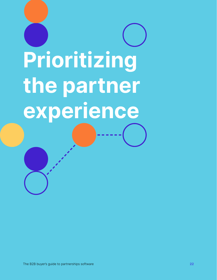# **Prioritizing the partner experience**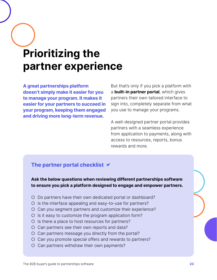# **Prioritizing the partner experience**

**A great partnerships platform doesn't simply make it easier for you to manage your program. It makes it easier for your partners to succeed in your program, keeping them engaged and driving more long-term revenue.**

But that's only if you pick a platform with a **built-in partner portal**, which gives partners their own tailored interface to sign into, completely separate from what you use to manage your programs.

A well-designed partner portal provides partners with a seamless experience from application to payments, along with access to resources, reports, bonus rewards and more.

#### **The partner portal checklist**

**Ask the below questions when reviewing different partnerships software to ensure you pick a platform designed to engage and empower partners.**

- O Do partners have their own dedicated portal or dashboard?
- O Is the interface appealing and easy-to-use for partners?
- O Can you segment partners and customize their experience?
- O Is it easy to customize the program application form?
- O Is there a place to host resources for partners?
- O Can partners see their own reports and data?
- $O$  Can partners message you directly from the portal?
- O Can you promote special offers and rewards to partners?
- O Can partners withdraw their own payments?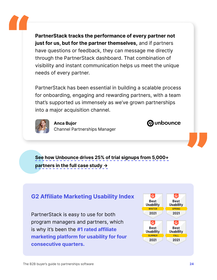**PartnerStack tracks the performance of every partner not just for us, but for the partner themselves,** and if partners have questions or feedback, they can message me directly through the PartnerStack dashboard. That combination of visibility and instant communication helps us meet the unique needs of every partner.

PartnerStack has been essential in building a scalable process for onboarding, engaging and rewarding partners, with a team that's supported us immensely as we've grown partnerships into a major acquisition channel.



**"** 

**Anca Bujor** Channel Partnerships Manager

**See how Unbounce drives 25% of trial signups from 5,000+ Partners in the full case study →** 

#### **G2 Affiliate Marketing Usability Index**

PartnerStack is easy to use for both program managers and partners, which is why it's been the **#1 rated affiliate marketing platform for usability for four consecutive quarters.**



*M* unbounce

"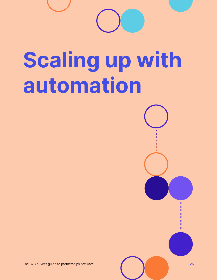

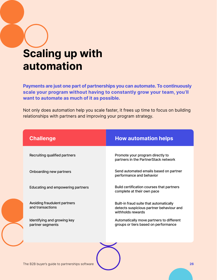# **Scaling up with automation**

**Payments are just one part of partnerships you can automate. To continuously scale your program without having to constantly grow your team, you'll want to automate as much of it as possible.**

Not only does automation help you scale faster, it frees up time to focus on building relationships with partners and improving your program strategy.

| <b>Challenge</b>                                 | <b>How automation helps</b>                                                                              |
|--------------------------------------------------|----------------------------------------------------------------------------------------------------------|
| Recruiting qualified partners                    | Promote your program directly to<br>partners in the PartnerStack network                                 |
| Onboarding new partners                          | Send automated emails based on partner<br>performance and behavior                                       |
| Educating and empowering partners                | Build certification courses that partners<br>complete at their own pace                                  |
| Avoiding fraudulent partners<br>and transactions | Built-in fraud suite that automatically<br>detects suspicious partner behaviour and<br>withholds rewards |
| Identifying and growing key<br>partner segments  | Automatically move partners to different<br>groups or tiers based on performance                         |
|                                                  |                                                                                                          |

The B2B buyer's guide to partnerships software **26**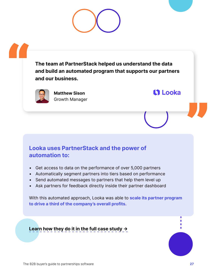

**The team at PartnerStack helped us understand the data and build an automated program that supports our partners and our business.**



**"** 

**Matthew Sison** Growth Manager

#### **Looka uses PartnerStack and the power of automation to:**

- Get access to data on the performance of over 5,000 partners
- Automatically segment partners into tiers based on performance
- Send automated messages to partners that help them level up
- Ask partners for feedback directly inside their partner dashboard

With this automated approach, Looka was able to **scale its partner program to drive a third of the company's overall profits.**

**Learn how they do it in the full case study →** 

"

**11 Looka**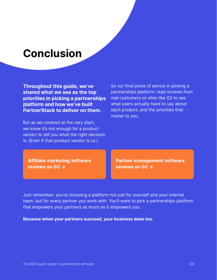### **Conclusion**

**Throughout this guide, we've shared what we see as the top priorities in picking a partnerships platform and how we've built PartnerStack to deliver on them.**

But as we covered at the very start, we know it's not enough for a product vendor to tell you what the right decision is. (Even if that product vendor is us.)

So our final piece of advice in picking a partnerships platform: read reviews from real customers on sites like G2 to see what users actually have to say about each product, and the priorities that matter to you.

**Affiliate marketing software reviews on G2 →** 

**Partner management software reviews on G2 →** 

Just remember: you're choosing a platform not just for yourself and your internal team, but for every partner you work with. You'll want to pick a partnerships platform that empowers your partners as much as it empowers you.

**Because when your partners succeed, your business does too.**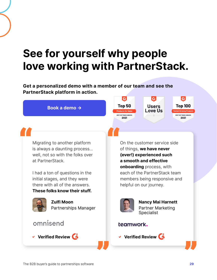# **See for yourself why people love working with PartnerStack.**

**Get a personalized demo with a member of our team and see the PartnerStack platform in action.**